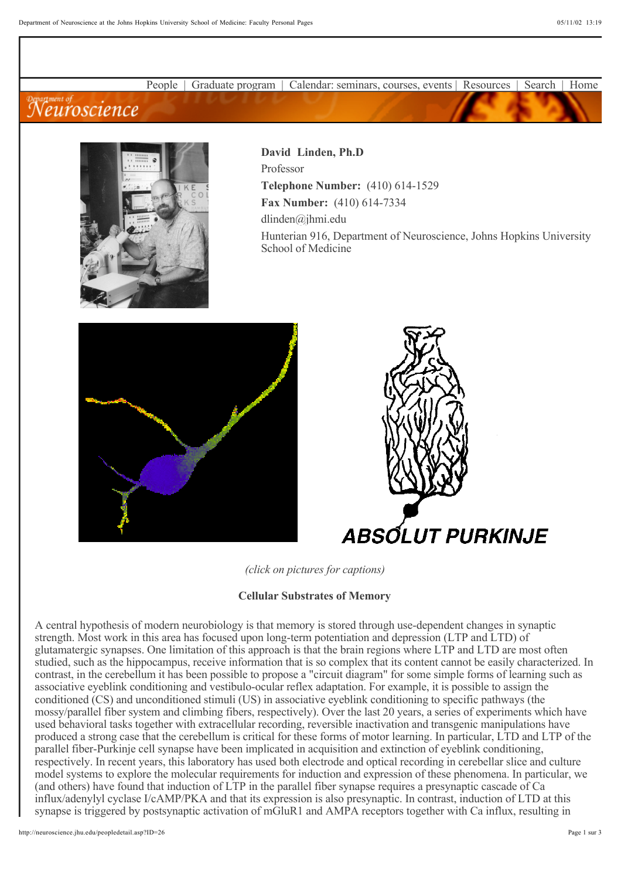People | Graduate program | Calendar: seminars, courses, events | Resources | Search | Home

## **Meuroscience**



**David Linden, Ph.D** Professor **Telephone Number:** (410) 614-1529 **Fax Number:** (410) 614-7334 dlinden@jhmi.edu Hunterian 916, Department of Neuroscience, Johns Hopkins University School of Medicine





*(click on pictures for captions)*

## **Cellular Substrates of Memory**

A central hypothesis of modern neurobiology is that memory is stored through use-dependent changes in synaptic strength. Most work in this area has focused upon long-term potentiation and depression (LTP and LTD) of glutamatergic synapses. One limitation of this approach is that the brain regions where LTP and LTD are most often studied, such as the hippocampus, receive information that is so complex that its content cannot be easily characterized. In contrast, in the cerebellum it has been possible to propose a "circuit diagram" for some simple forms of learning such as associative eyeblink conditioning and vestibulo-ocular reflex adaptation. For example, it is possible to assign the conditioned (CS) and unconditioned stimuli (US) in associative eyeblink conditioning to specific pathways (the mossy/parallel fiber system and climbing fibers, respectively). Over the last 20 years, a series of experiments which have used behavioral tasks together with extracellular recording, reversible inactivation and transgenic manipulations have produced a strong case that the cerebellum is critical for these forms of motor learning. In particular, LTD and LTP of the parallel fiber-Purkinje cell synapse have been implicated in acquisition and extinction of eyeblink conditioning, respectively. In recent years, this laboratory has used both electrode and optical recording in cerebellar slice and culture model systems to explore the molecular requirements for induction and expression of these phenomena. In particular, we (and others) have found that induction of LTP in the parallel fiber synapse requires a presynaptic cascade of Ca influx/adenylyl cyclase I/cAMP/PKA and that its expression is also presynaptic. In contrast, induction of LTD at this synapse is triggered by postsynaptic activation of mGluR1 and AMPA receptors together with Ca influx, resulting in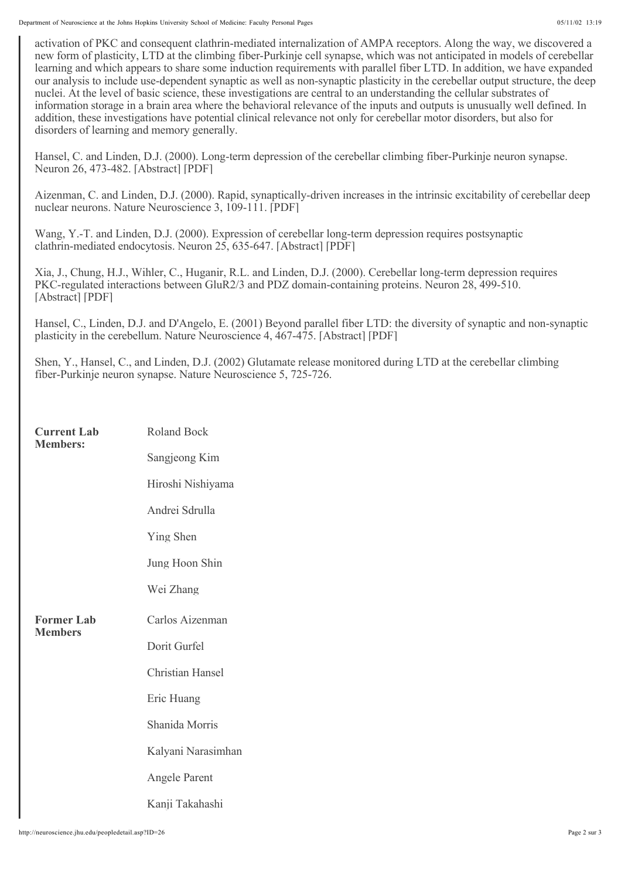activation of PKC and consequent clathrin-mediated internalization of AMPA receptors. Along the way, we discovered a new form of plasticity, LTD at the climbing fiber-Purkinje cell synapse, which was not anticipated in models of cerebellar learning and which appears to share some induction requirements with parallel fiber LTD. In addition, we have expanded our analysis to include use-dependent synaptic as well as non-synaptic plasticity in the cerebellar output structure, the deep nuclei. At the level of basic science, these investigations are central to an understanding the cellular substrates of information storage in a brain area where the behavioral relevance of the inputs and outputs is unusually well defined. In addition, these investigations have potential clinical relevance not only for cerebellar motor disorders, but also for disorders of learning and memory generally.

Hansel, C. and Linden, D.J. (2000). Long-term depression of the cerebellar climbing fiber-Purkinje neuron synapse. Neuron 26, 473-482. [Abstract] [PDF]

Aizenman, C. and Linden, D.J. (2000). Rapid, synaptically-driven increases in the intrinsic excitability of cerebellar deep nuclear neurons. Nature Neuroscience 3, 109-111. [PDF]

Wang, Y.-T. and Linden, D.J. (2000). Expression of cerebellar long-term depression requires postsynaptic clathrin-mediated endocytosis. Neuron 25, 635-647. [Abstract] [PDF]

Xia, J., Chung, H.J., Wihler, C., Huganir, R.L. and Linden, D.J. (2000). Cerebellar long-term depression requires PKC-regulated interactions between GluR2/3 and PDZ domain-containing proteins. Neuron 28, 499-510. [Abstract] [PDF]

Hansel, C., Linden, D.J. and D'Angelo, E. (2001) Beyond parallel fiber LTD: the diversity of synaptic and non-synaptic plasticity in the cerebellum. Nature Neuroscience 4, 467-475. [Abstract] [PDF]

Shen, Y., Hansel, C., and Linden, D.J. (2002) Glutamate release monitored during LTD at the cerebellar climbing fiber-Purkinje neuron synapse. Nature Neuroscience 5, 725-726.

| <b>Current Lab</b><br><b>Members:</b> | Roland Bock             |
|---------------------------------------|-------------------------|
|                                       | Sangjeong Kim           |
|                                       | Hiroshi Nishiyama       |
|                                       | Andrei Sdrulla          |
|                                       | Ying Shen               |
|                                       | Jung Hoon Shin          |
|                                       | Wei Zhang               |
| <b>Former Lab</b><br><b>Members</b>   | Carlos Aizenman         |
|                                       | Dorit Gurfel            |
|                                       | <b>Christian Hansel</b> |
|                                       | Eric Huang              |
|                                       | Shanida Morris          |
|                                       | Kalyani Narasimhan      |
|                                       | Angele Parent           |
|                                       | Kanji Takahashi         |

http://neuroscience.jhu.edu/peopledetail.asp?ID=26 Page 2 sur 3